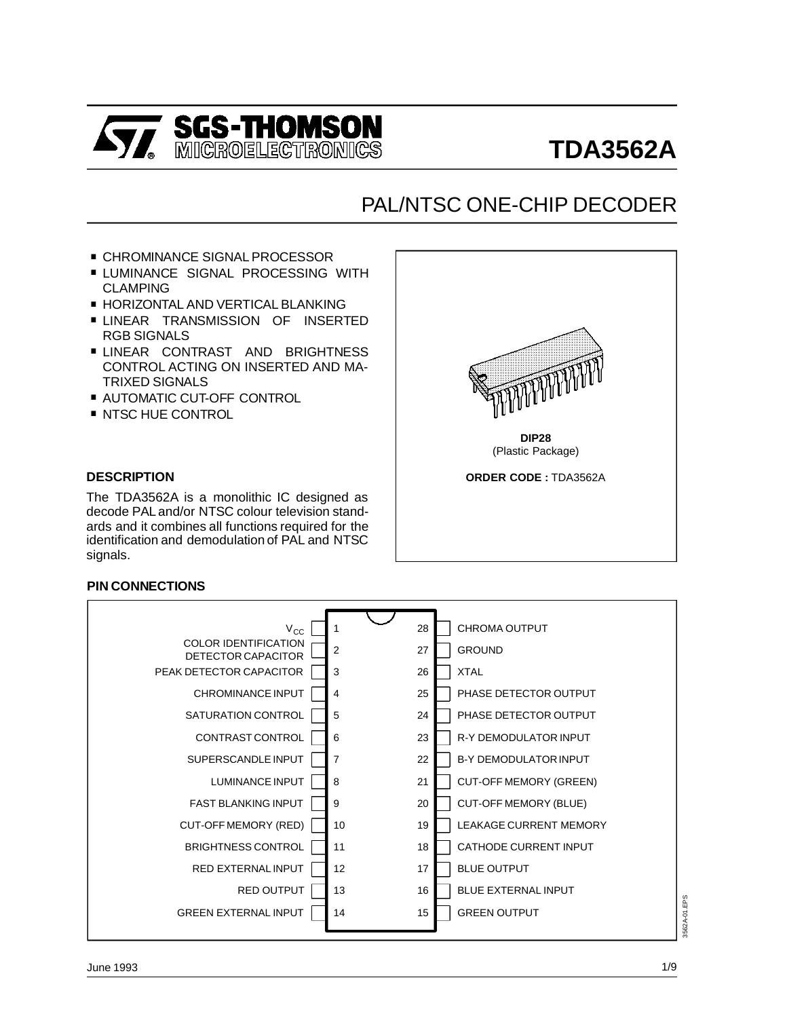

# **TDA3562A**

# PAL/NTSC ONE-CHIP DECODER

- . CHROMINANCE SIGNAL PROCESSOR
- **LUMINANCE SIGNAL PROCESSING WITH** CLAMPING
- **E HORIZONTAL AND VERTICAL BLANKING**
- **LINEAR TRANSMISSION OF INSERTED** RGB SIGNALS
- **LINEAR CONTRAST AND BRIGHTNESS** CONTROL ACTING ON INSERTED AND MA-TRIXED SIGNALS . CONTROL ACTING ON INSERTE<br>TRIXED SIGNALS<br>■ AUTOMATIC CUT-OFF CONTROL
- TRIXED SIGNALS<br>■ AUTOMATIC CUT-OFF<br>■ NTSC HUE CONTROL
- 

#### **DESCRIPTION**

The TDA3562A is a monolithic IC designed as decode PAL and/or NTSC colour television standards and it combines all functions required for the identification and demodulation of PAL and NTSC signals.

#### **PIN CONNECTIONS**

| $V_{\rm CC}$                                      |                | <b>CHROMA OUTPUT</b><br>28          |                 |
|---------------------------------------------------|----------------|-------------------------------------|-----------------|
| <b>COLOR IDENTIFICATION</b><br>DETECTOR CAPACITOR | 2              | <b>GROUND</b><br>27                 |                 |
| PEAK DETECTOR CAPACITOR                           | 3              | <b>XTAL</b><br>26                   |                 |
| <b>CHROMINANCE INPUT</b>                          | 4              | PHASE DETECTOR OUTPUT<br>25         |                 |
| SATURATION CONTROL                                | 5              | PHASE DETECTOR OUTPUT<br>24         |                 |
| CONTRAST CONTROL                                  | 6              | R-Y DEMODULATOR INPUT<br>23         |                 |
| SUPERSCANDLE INPUT                                | $\overline{7}$ | 22<br><b>B-Y DEMODULATOR INPUT</b>  |                 |
| <b>LUMINANCE INPUT</b>                            | 8              | 21<br><b>CUT-OFF MEMORY (GREEN)</b> |                 |
| <b>FAST BLANKING INPUT</b>                        | 9              | <b>CUT-OFF MEMORY (BLUE)</b><br>20  |                 |
| CUT-OFF MEMORY (RED)                              | 10             | <b>LEAKAGE CURRENT MEMORY</b><br>19 |                 |
| BRIGHTNESS CONTROL                                | 11             | <b>CATHODE CURRENT INPUT</b><br>18  |                 |
| RED EXTERNAL INPUT                                | 12             | <b>BLUE OUTPUT</b><br>17            |                 |
| RED OUTPUT                                        | 13             | <b>BLUE EXTERNAL INPUT</b><br>16    |                 |
| <b>GREEN EXTERNAL INPUT</b>                       | 14             | <b>GREEN OUTPUT</b><br>15           | EPS<br>3562A-01 |
|                                                   |                |                                     |                 |



**DIP28** (Plastic Package)

**ORDER CODE :** TDA3562A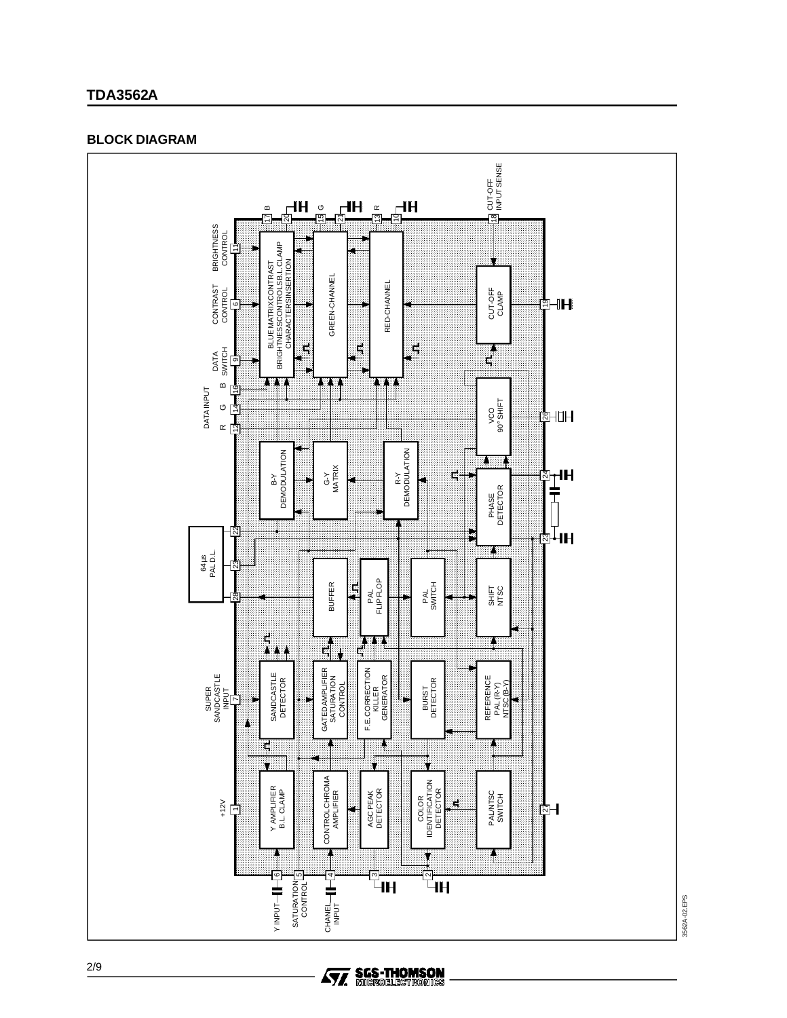# **TDA3562A**

#### **BLOCK DIAGRAM**



**Ay, SGS-THOMSON**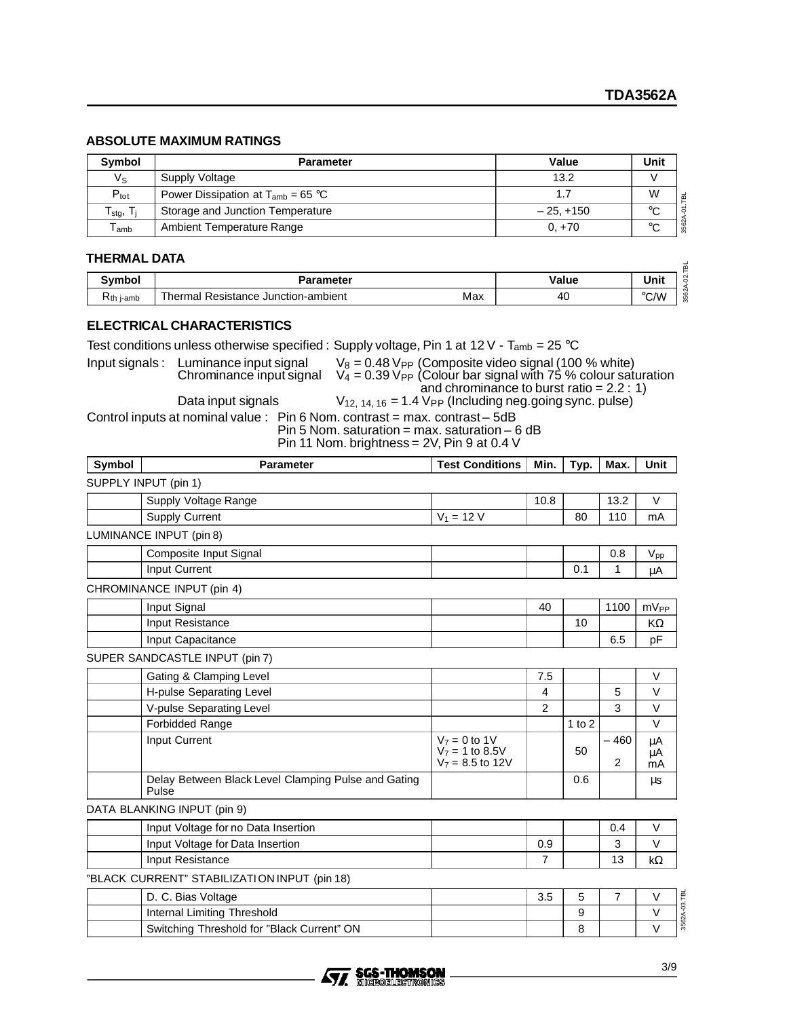## **ABSOLUTE MAXIMUM RATINGS**

| <b>Symbol</b>                 | <b>Parameter</b>                       | Value       | Unit   |
|-------------------------------|----------------------------------------|-------------|--------|
| Vs                            | Supply Voltage                         | 13.2        |        |
| $P_{\rm tot}$                 | Power Dissipation at $T_{amb} = 65 °C$ |             | W      |
| ${\sf T}_{\sf stg},\,{\sf T}$ | Storage and Junction Temperature       | $-25. +150$ | $\sim$ |
| $\mathsf{T}_{\mathsf{amb}}$   | Ambient Temperature Range              | $0, +70$    | $\sim$ |

#### **THERMAL DATA**

| m                      |                                                 |       |      |  |  |  |
|------------------------|-------------------------------------------------|-------|------|--|--|--|
| ື™mboı                 | Parameter                                       | Value | Unit |  |  |  |
| $R_{th\ j\text{-amb}}$ | Max<br>' Resistance Junction-ambient<br>⊺hermal | 40    | °C/W |  |  |  |

# **ELECTRICAL CHARACTERISTICS**

Test conditions unless otherwise specified : Supply voltage, Pin 1 at 12 V - T<sub>amb</sub> = 25 °C

Input signals : Luminance input signal  $V_8 = 0.48$  V<sub>PP</sub> (Composite video signal (100 % white) Chrominance input signal  $V_4 = 0.39 V_{PP}$  (Colour bar signal with 75 % colour saturation

and chrominance to burst ratio =  $2.2:1$ ) Data input signals  $V_{12, 14, 16} = 1.4 V_{PP}$  (Including neg.going sync. pulse) Control inputs at nominal value : Pin 6 Nom. contrast = max. contrast – 5dB Pin 5 Nom. saturation = max. saturation - 6 dB

Pin 11 Nom. brightness = 2V, Pin 9 at 0.4 V

| Symbol | <b>Parameter</b>                                             | <b>Test Conditions</b>                                     | Min.           | Typ.     | Max.           | <b>Unit</b>                     |
|--------|--------------------------------------------------------------|------------------------------------------------------------|----------------|----------|----------------|---------------------------------|
|        | SUPPLY INPUT (pin 1)                                         |                                                            |                |          |                |                                 |
|        | Supply Voltage Range                                         |                                                            | 10.8           |          | 13.2           | V                               |
|        | <b>Supply Current</b>                                        | $V_1 = 12 V$                                               |                | 80       | 110            | mA                              |
|        | LUMINANCE INPUT (pin 8)                                      |                                                            |                |          |                |                                 |
|        | Composite Input Signal                                       |                                                            |                |          | 0.8            | $V_{\text{pp}}$                 |
|        | Input Current                                                |                                                            |                | 0.1      | 1              | μA                              |
|        | CHROMINANCE INPUT (pin 4)                                    |                                                            |                |          |                |                                 |
|        | Input Signal                                                 |                                                            | 40             |          | 1100           | $mV_{PP}$                       |
|        | Input Resistance                                             |                                                            |                | 10       |                | KΩ                              |
|        | Input Capacitance                                            |                                                            |                |          | 6.5            | pF                              |
|        | SUPER SANDCASTLE INPUT (pin 7)                               |                                                            |                |          |                |                                 |
|        | Gating & Clamping Level                                      |                                                            | 7.5            |          |                | $\vee$                          |
|        | H-pulse Separating Level                                     |                                                            | $\overline{4}$ |          | 5              | $\vee$                          |
|        | V-pulse Separating Level                                     |                                                            | 2              |          | 3              | $\vee$                          |
|        | <b>Forbidded Range</b>                                       |                                                            |                | 1 to $2$ |                | $\vee$                          |
|        | Input Current                                                | $V_7 = 0$ to 1V<br>$V_7$ = 1 to 8.5V<br>$V_7 = 8.5$ to 12V |                | 50       | $-460$<br>2    | μA<br>$\mu$ A<br>m <sub>A</sub> |
|        | Delay Between Black Level Clamping Pulse and Gating<br>Pulse |                                                            |                | 0.6      |                | μs                              |
|        | DATA BLANKING INPUT (pin 9)                                  |                                                            |                |          |                |                                 |
|        | Input Voltage for no Data Insertion                          |                                                            |                |          | 0.4            | $\vee$                          |
|        | Input Voltage for Data Insertion                             |                                                            | 0.9            |          | 3              | $\vee$                          |
|        | Input Resistance                                             |                                                            | $\overline{7}$ |          | 13             | $k\Omega$                       |
|        | "BLACK CURRENT" STABILIZATION INPUT (pin 18)                 |                                                            |                |          |                |                                 |
|        | D. C. Bias Voltage                                           |                                                            | 3.5            | 5        | $\overline{7}$ | V                               |
|        | Internal Limiting Threshold                                  |                                                            |                | 9        |                | V                               |
|        | Switching Throshold for "Black Curront" ON                   |                                                            |                | Q        |                | $\mathcal{U}$                   |



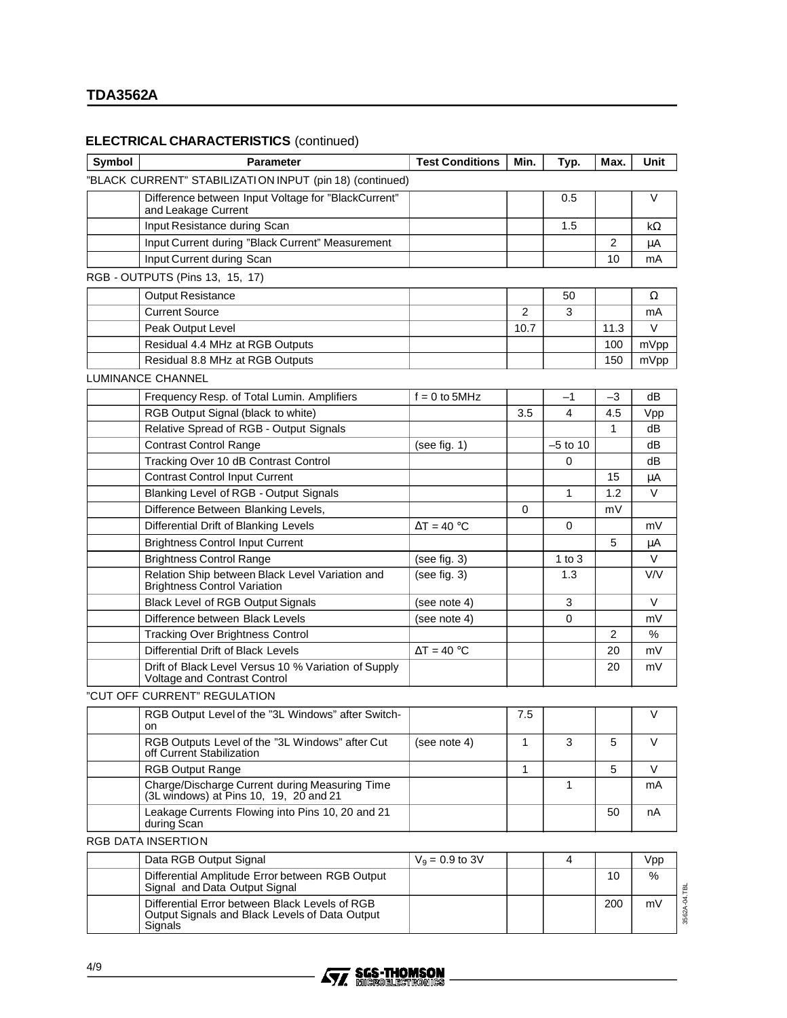## **ELECTRICAL CHARACTERISTICS** (continued)

| Symbol | <b>Parameter</b>                                                                                            | <b>Test Conditions</b> | Min.           | Typ.         | Max. | Unit               |
|--------|-------------------------------------------------------------------------------------------------------------|------------------------|----------------|--------------|------|--------------------|
|        | "BLACK CURRENT" STABILIZATION INPUT (pin 18) (continued)                                                    |                        |                |              |      |                    |
|        | Difference between Input Voltage for "BlackCurrent"<br>and Leakage Current                                  |                        |                | 0.5          |      | V                  |
|        | Input Resistance during Scan                                                                                |                        |                | 1.5          |      | kΩ                 |
|        | Input Current during "Black Current" Measurement                                                            |                        |                |              | 2    | μA                 |
|        | Input Current during Scan                                                                                   |                        |                |              | 10   | mA                 |
|        | RGB - OUTPUTS (Pins 13, 15, 17)                                                                             |                        |                |              |      |                    |
|        | <b>Output Resistance</b>                                                                                    |                        |                | 50           |      | Ω                  |
|        | <b>Current Source</b>                                                                                       |                        | $\overline{2}$ | 3            |      | mA                 |
|        | Peak Output Level                                                                                           |                        | 10.7           |              | 11.3 | V                  |
|        | Residual 4.4 MHz at RGB Outputs                                                                             |                        |                |              | 100  | mVpp               |
|        | Residual 8.8 MHz at RGB Outputs                                                                             |                        |                |              | 150  | mVpp               |
|        | LUMINANCE CHANNEL                                                                                           |                        |                |              |      |                    |
|        | Frequency Resp. of Total Lumin. Amplifiers                                                                  | $f = 0$ to 5MHz        |                | $-1$         | -3   | dB                 |
|        | RGB Output Signal (black to white)                                                                          |                        | 3.5            | 4            | 4.5  | Vpp                |
|        | Relative Spread of RGB - Output Signals                                                                     |                        |                |              | 1    | dB                 |
|        | <b>Contrast Control Range</b>                                                                               | (see fig. 1)           |                | $-5$ to 10   |      | dB                 |
|        | Tracking Over 10 dB Contrast Control                                                                        |                        |                | 0            |      | dB                 |
|        | <b>Contrast Control Input Current</b>                                                                       |                        |                |              | 15   | μA                 |
|        | Blanking Level of RGB - Output Signals                                                                      |                        |                | $\mathbf{1}$ | 1.2  | $\vee$             |
|        | Difference Between Blanking Levels,                                                                         |                        | 0              |              | mV   |                    |
|        | Differential Drift of Blanking Levels                                                                       | $\Delta T = 40 °C$     |                | $\Omega$     |      | mV                 |
|        | <b>Brightness Control Input Current</b>                                                                     |                        |                |              | 5    | μA                 |
|        | <b>Brightness Control Range</b>                                                                             | (see fig. $3)$         |                | 1 to $3$     |      | V                  |
|        | Relation Ship between Black Level Variation and<br><b>Brightness Control Variation</b>                      | (see fig. 3)           |                | 1.3          |      | V/V                |
|        | <b>Black Level of RGB Output Signals</b>                                                                    | (see note 4)           |                | 3            |      | V                  |
|        | Difference between Black Levels                                                                             | (see note 4)           |                | 0            |      | mV                 |
|        | <b>Tracking Over Brightness Control</b>                                                                     |                        |                |              | 2    | %                  |
|        | Differential Drift of Black Levels                                                                          | $\Delta T = 40 °C$     |                |              | 20   | mV                 |
|        | Drift of Black Level Versus 10 % Variation of Supply<br>Voltage and Contrast Control                        |                        |                |              | 20   | mV                 |
|        | "CUT OFF CURRENT" REGULATION                                                                                |                        |                |              |      |                    |
|        | RGB Output Level of the "3L Windows" after Switch-<br>on                                                    |                        | 7.5            |              |      | V                  |
|        | RGB Outputs Level of the "3L Windows" after Cut<br>off Current Stabilization                                | (see note 4)           | 1              | 3            | 5    | V                  |
|        | <b>RGB Output Range</b>                                                                                     |                        | 1              |              | 5    | V                  |
|        | Charge/Discharge Current during Measuring Time<br>(3L windows) at Pins 10, 19, 20 and 21                    |                        |                | 1            |      | mA                 |
|        | Leakage Currents Flowing into Pins 10, 20 and 21<br>during Scan                                             |                        |                |              | 50   | nА                 |
|        | RGB DATA INSERTION                                                                                          |                        |                |              |      |                    |
|        | Data RGB Output Signal                                                                                      | $V_9 = 0.9$ to 3V      |                | 4            |      | Vpp                |
|        | Differential Amplitude Error between RGB Output<br>Signal and Data Output Signal                            |                        |                |              | 10   | %                  |
|        | Differential Error between Black Levels of RGB<br>Output Signals and Black Levels of Data Output<br>Signals |                        |                |              | 200  | 3562A-04.TBL<br>mV |



ı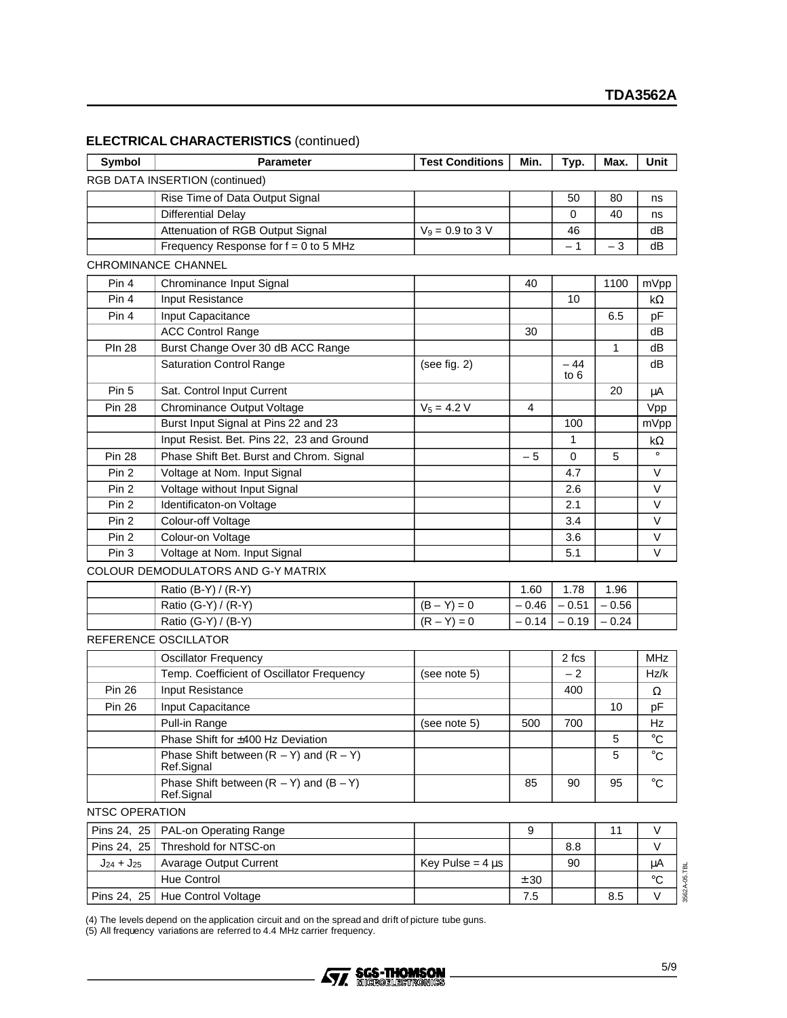|  | <b>ELECTRICAL CHARACTERISTICS (continued)</b> |  |
|--|-----------------------------------------------|--|
|--|-----------------------------------------------|--|

| Symbol            | <b>Parameter</b>                                          | <b>Test Conditions</b> | Min.    | Typ.     | Max.    | Unit        |
|-------------------|-----------------------------------------------------------|------------------------|---------|----------|---------|-------------|
|                   | <b>RGB DATA INSERTION (continued)</b>                     |                        |         |          |         |             |
|                   | Rise Time of Data Output Signal                           |                        |         | 50       | 80      | ns          |
|                   | <b>Differential Delay</b>                                 |                        |         | 0        | 40      | ns          |
|                   | Attenuation of RGB Output Signal                          | $V_9 = 0.9$ to 3 V     |         | 46       |         | dB          |
|                   | Frequency Response for $f = 0$ to 5 MHz                   |                        |         | $-1$     | $-3$    | dB          |
|                   | CHROMINANCE CHANNEL                                       |                        |         |          |         |             |
| Pin 4             | Chrominance Input Signal                                  |                        | 40      |          | 1100    | mVpp        |
| Pin 4             | Input Resistance                                          |                        |         | 10       |         | kΩ          |
| Pin 4             | Input Capacitance                                         |                        |         |          | 6.5     | pF          |
|                   | <b>ACC Control Range</b>                                  |                        | 30      |          |         | dB          |
| <b>PIn 28</b>     | Burst Change Over 30 dB ACC Range                         |                        |         |          | 1       | dB          |
|                   | <b>Saturation Control Range</b>                           | (see fig. 2)           |         | $-44$    |         | dB          |
| Pin 5             | Sat. Control Input Current                                |                        |         | to $6$   | 20      | μA          |
| <b>Pin 28</b>     | Chrominance Output Voltage                                | $V_5 = 4.2 V$          | 4       |          |         | Vpp         |
|                   | Burst Input Signal at Pins 22 and 23                      |                        |         | 100      |         | mVpp        |
|                   | Input Resist. Bet. Pins 22, 23 and Ground                 |                        |         | 1        |         | $k\Omega$   |
| <b>Pin 28</b>     | Phase Shift Bet. Burst and Chrom. Signal                  |                        | - 5     | $\Omega$ | 5       | $\circ$     |
| Pin <sub>2</sub>  | Voltage at Nom. Input Signal                              |                        |         | 4.7      |         | V           |
| Pin <sub>2</sub>  | Voltage without Input Signal                              |                        |         | 2.6      |         | V           |
| Pin 2             | Identificaton-on Voltage                                  |                        |         | 2.1      |         | V           |
| Pin 2             | Colour-off Voltage                                        |                        |         | 3.4      |         | V           |
| Pin 2             | Colour-on Voltage                                         |                        |         | 3.6      |         | V           |
| Pin 3             | Voltage at Nom. Input Signal                              |                        |         | 5.1      |         | V           |
|                   | COLOUR DEMODULATORS AND G-Y MATRIX                        |                        |         |          |         |             |
|                   | Ratio (B-Y) / (R-Y)                                       |                        | 1.60    | 1.78     | 1.96    |             |
|                   | Ratio (G-Y) / (R-Y)                                       | $(B - Y) = 0$          | $-0.46$ | $-0.51$  | $-0.56$ |             |
|                   | Ratio (G-Y) / (B-Y)                                       | $(R - Y) = 0$          | $-0.14$ | $-0.19$  | $-0.24$ |             |
|                   | REFERENCE OSCILLATOR                                      |                        |         |          |         |             |
|                   | <b>Oscillator Frequency</b>                               |                        |         | 2 fcs    |         | <b>MHz</b>  |
|                   | Temp. Coefficient of Oscillator Frequency                 | (see note 5)           |         | $-2$     |         | Hz/k        |
| <b>Pin 26</b>     | Input Resistance                                          |                        |         | 400      |         | Ω           |
| <b>Pin 26</b>     | Input Capacitance                                         |                        |         |          | 10      | pF          |
|                   | Pull-in Range                                             | (see note 5)           | 500     | 700      |         | Hz          |
|                   | Phase Shift for ±400 Hz Deviation                         |                        |         |          | 5       | $^{\circ}C$ |
|                   | Phase Shift between $(R - Y)$ and $(R - Y)$<br>Ref.Signal |                        |         |          | 5       | $^{\circ}C$ |
|                   | Phase Shift between $(R - Y)$ and $(B - Y)$<br>Ref.Signal |                        | 85      | 90       | 95      | $^{\circ}C$ |
| NTSC OPERATION    |                                                           |                        |         |          |         |             |
| Pins 24, 25       | PAL-on Operating Range                                    |                        | 9       |          | 11      | V           |
| Pins 24, 25       | Threshold for NTSC-on                                     |                        |         | 8.8      |         | V           |
| $J_{24} + J_{25}$ | <b>Avarage Output Current</b>                             | Key Pulse = $4 \mu s$  |         | 90       |         | μA          |
|                   | Hue Control                                               |                        | ± 30    |          |         | $^{\circ}C$ |
| Pins 24, 25       | Hue Control Voltage                                       |                        | 7.5     |          | 8.5     | V           |

(4) The levels depend on the application circuit and on the spread and drift of picture tube guns.

(5) All frequency variations are referred to 4.4 MHz carrier frequency.

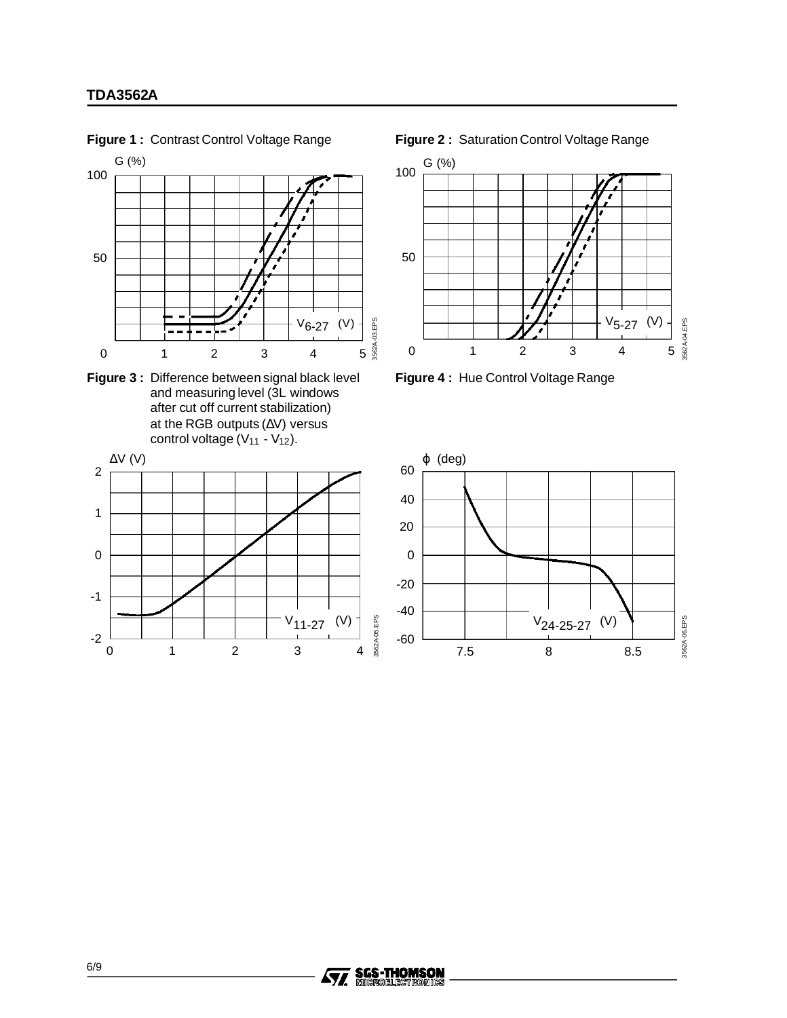

**Figure 1 :** Contrast Control Voltage Range

**Figure 2 :** Saturation Control Voltage Range



**Figure 3 :** Difference between signal black level **Figure 4 :** Hue Control Voltage Range



01234





-2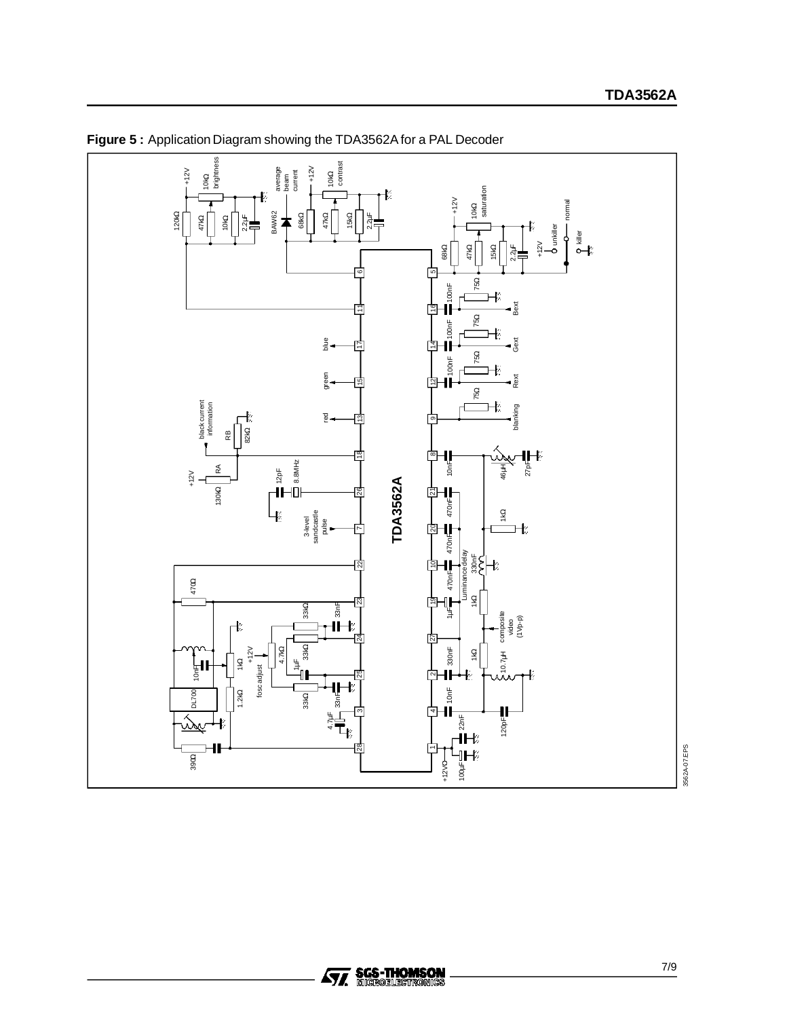

**Figure 5 :** Application Diagram showing the TDA3562A for a PAL Decoder

3562A-07.EPS 3562A-07.EPS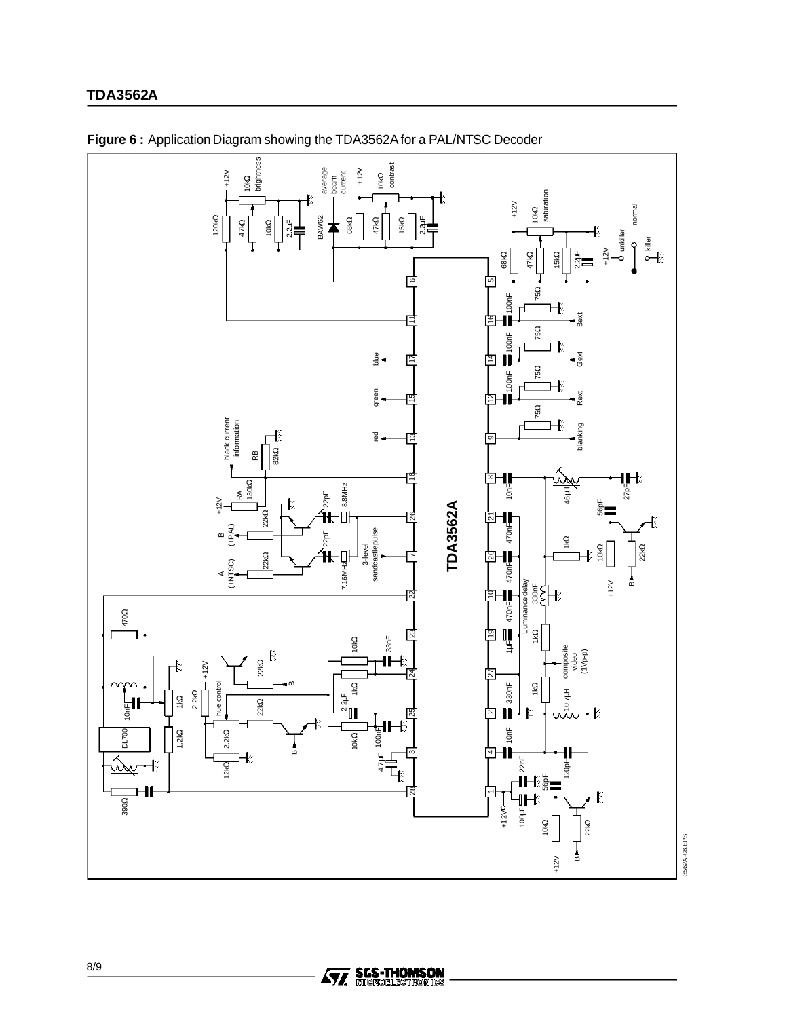# **TDA3562A**



**Figure 6 :** Application Diagram showing the TDA3562A for a PAL/NTSC Decoder